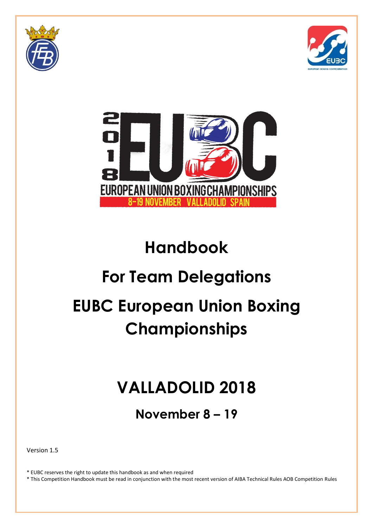





## **Handbook**

# **For Team Delegations EUBC European Union Boxing**

## **Championships**

## **VALLADOLID 2018**

**November 8 – 19**

Version 1.5

\* EUBC reserves the right to update this handbook as and when required

\* This Competition Handbook must be read in conjunction with the most recent version of AIBA Technical Rules AOB Competition Rules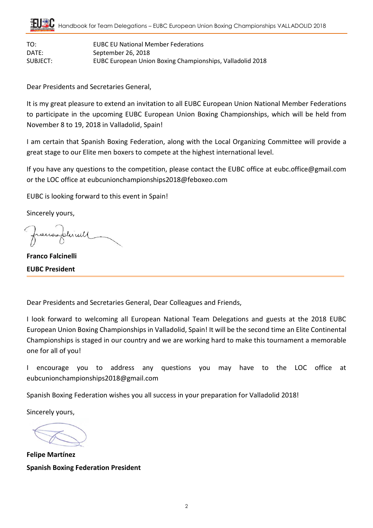TO: EUBC EU National Member Federations DATE: September 26, 2018 SUBJECT: EUBC European Union Boxing Championships, Valladolid 2018

Dear Presidents and Secretaries General,

It is my great pleasure to extend an invitation to all EUBC European Union National Member Federations to participate in the upcoming EUBC European Union Boxing Championships, which will be held from November 8 to 19, 2018 in Valladolid, Spain!

I am certain that Spanish Boxing Federation, along with the Local Organizing Committee will provide a great stage to our Elite men boxers to compete at the highest international level.

If you have any questions to the competition, please contact the EUBC office at [eubc.office@gmail.com](mailto:eubc.office@gmail.com) or the LOC office at eubcunionchampionships2018@feboxeo.com

EUBC is looking forward to this event in Spain!

Sincerely yours,

rairesplicall

**Franco Falcinelli EUBC President**

Dear Presidents and Secretaries General, Dear Colleagues and Friends,

I look forward to welcoming all European National Team Delegations and guests at the 2018 EUBC European Union Boxing Championships in Valladolid, Spain! It will be the second time an Elite Continental Championships is staged in our country and we are working hard to make this tournament a memorable one for all of you!

I encourage you to address any questions you may have to the LOC office at eubcunionchampionships2018@gmail.com

Spanish Boxing Federation wishes you all success in your preparation for Valladolid 2018!

Sincerely yours,

**Felipe Martínez Spanish Boxing Federation President**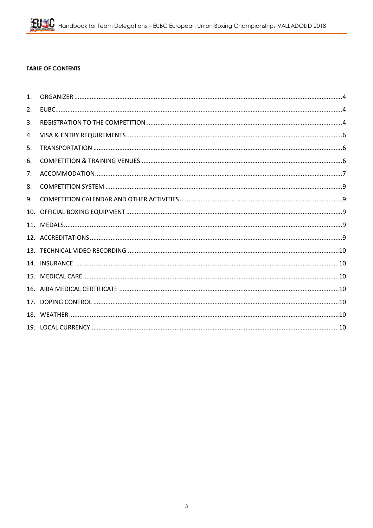#### **TABLE OF CONTENTS**

| 1 <sub>1</sub> |  |
|----------------|--|
| 2.             |  |
| 3.             |  |
| 4.             |  |
| 5.             |  |
| 6.             |  |
| 7.             |  |
| 8.             |  |
| 9.             |  |
|                |  |
|                |  |
|                |  |
|                |  |
|                |  |
|                |  |
|                |  |
|                |  |
| 18.            |  |
|                |  |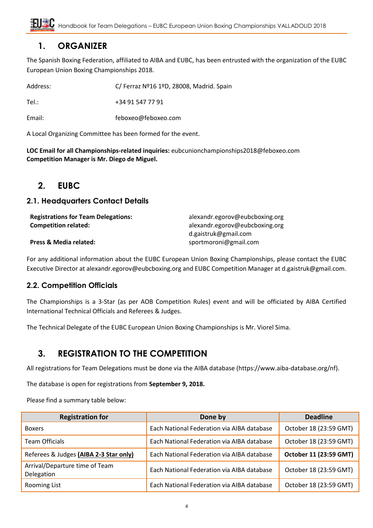## <span id="page-3-0"></span>**1. ORGANIZER**

The Spanish Boxing Federation, affiliated to AIBA and EUBC, has been entrusted with the organization of the EUBC European Union Boxing Championships 2018.

| Address: | C/ Ferraz Nº16 1ºD, 28008, Madrid. Spain |
|----------|------------------------------------------|
| Tel.:    | +34 91 547 77 91                         |
| Email:   | feboxeo@feboxeo.com                      |

A Local Organizing Committee has been formed for the event.

**LOC Email for all Championships-related inquiries:** eubcunionchampionships2018@feboxeo.com **Competition Manager is Mr. Diego de Miguel.**

## <span id="page-3-1"></span>**2. EUBC**

#### **2.1. Headquarters Contact Details**

| <b>Registrations for Team Delegations:</b> | alexandr.egorov@eubcboxing.org |
|--------------------------------------------|--------------------------------|
| <b>Competition related:</b>                | alexandr.egorov@eubcboxing.org |
|                                            | d.gaistruk@gmail.com           |
| Press & Media related:                     | sportmoroni@gmail.com          |

For any additional information about the EUBC European Union Boxing Championships, please contact the EUBC Executive Director at alexandr.egorov@eubcboxing.org and EUBC Competition Manager at d.gaistruk@gmail.com.

#### **2.2. Competition Officials**

The Championships is a 3-Star (as per AOB Competition Rules) event and will be officiated by AIBA Certified International Technical Officials and Referees & Judges.

The Technical Delegate of the EUBC European Union Boxing Championships is Mr. Viorel Sima.

## <span id="page-3-2"></span>**3. REGISTRATION TO THE COMPETITION**

All registrations for Team Delegations must be done via the AIBA database (https://www.aiba-database.org/nf).

The database is open for registrations from **September 9, 2018.**

Please find a summary table below:

| <b>Registration for</b>                      | Done by                                    | <b>Deadline</b>        |
|----------------------------------------------|--------------------------------------------|------------------------|
| <b>Boxers</b>                                | Each National Federation via AIBA database | October 18 (23:59 GMT) |
| <b>Team Officials</b>                        | Each National Federation via AIBA database | October 18 (23:59 GMT) |
| Referees & Judges (AIBA 2-3 Star only)       | Each National Federation via AIBA database | October 11 (23:59 GMT) |
| Arrival/Departure time of Team<br>Delegation | Each National Federation via AIBA database | October 18 (23:59 GMT) |
| Rooming List                                 | Each National Federation via AIBA database | October 18 (23:59 GMT) |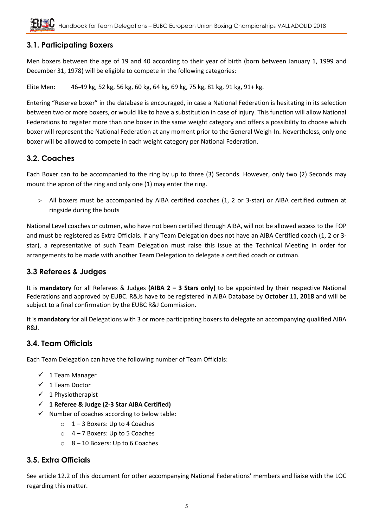## **3.1. Participating Boxers**

Men boxers between the age of 19 and 40 according to their year of birth (born between January 1, 1999 and December 31, 1978) will be eligible to compete in the following categories:

Elite Men: 46-49 kg, 52 kg, 56 kg, 60 kg, 64 kg, 69 kg, 75 kg, 81 kg, 91 kg, 91+ kg.

Entering "Reserve boxer" in the database is encouraged, in case a National Federation is hesitating in its selection between two or more boxers, or would like to have a substitution in case of injury. This function will allow National Federations to register more than one boxer in the same weight category and offers a possibility to choose which boxer will represent the National Federation at any moment prior to the General Weigh-In. Nevertheless, only one boxer will be allowed to compete in each weight category per National Federation.

#### **3.2. Coaches**

Each Boxer can to be accompanied to the ring by up to three (3) Seconds. However, only two (2) Seconds may mount the apron of the ring and only one (1) may enter the ring.

 All boxers must be accompanied by AIBA certified coaches (1, 2 or 3-star) or AIBA certified cutmen at ringside during the bouts

National Level coaches or cutmen, who have not been certified through AIBA, will not be allowed access to the FOP and must be registered as Extra Officials. If any Team Delegation does not have an AIBA Certified coach (1, 2 or 3 star), a representative of such Team Delegation must raise this issue at the Technical Meeting in order for arrangements to be made with another Team Delegation to delegate a certified coach or cutman.

#### **3.3 Referees & Judges**

It is **mandatory** for all Referees & Judges **(AIBA 2 – 3 Stars only)** to be appointed by their respective National Federations and approved by EUBC. R&Js have to be registered in AIBA Database by **October 11**, **2018** and will be subject to a final confirmation by the EUBC R&J Commission.

It is **mandatory** for all Delegations with 3 or more participating boxers to delegate an accompanying qualified AIBA R&J.

#### **3.4. Team Officials**

Each Team Delegation can have the following number of Team Officials:

- $\checkmark$  1 Team Manager
- $\checkmark$  1 Team Doctor
- $\checkmark$  1 Physiotherapist
- **1 Referee & Judge (2-3 Star AIBA Certified)**
- $\checkmark$  Number of coaches according to below table:
	- $\circ$  1 3 Boxers: Up to 4 Coaches
	- $\circ$  4 7 Boxers: Up to 5 Coaches
	- $\circ$  8 10 Boxers: Up to 6 Coaches

#### **3.5. Extra Officials**

See article 12.2 of this document for other accompanying National Federations' members and liaise with the LOC regarding this matter.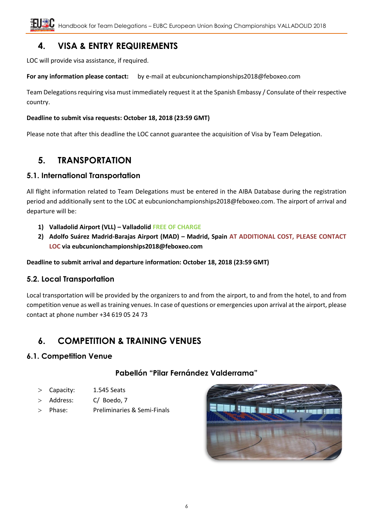## <span id="page-5-0"></span>**4. VISA & ENTRY REQUIREMENTS**

LOC will provide visa assistance, if required.

**For any information please contact:** by e-mail at [eubcunionchampionships2018@feboxeo.com](mailto:eubcunionchampionships2018@feboxeo.com)

Team Delegations requiring visa must immediately request it at the Spanish Embassy / Consulate of their respective country.

#### **Deadline to submit visa requests: October 18, 2018 (23:59 GMT)**

Please note that after this deadline the LOC cannot guarantee the acquisition of Visa by Team Delegation.

## <span id="page-5-1"></span>**5. TRANSPORTATION**

#### **5.1. International Transportation**

All flight information related to Team Delegations must be entered in the AIBA Database during the registration period and additionally sent to the LOC at [eubcunionchampionships2018@feboxeo.com.](mailto:eubcunionchampionships2018@feboxeo.com) The airport of arrival and departure will be:

- **1) Valladolid Airport (VLL) – Valladolid FREE OF CHARGE**
- **2) Adolfo Suárez Madrid-Barajas Airport (MAD) – Madrid, Spain AT ADDITIONAL COST, PLEASE CONTACT LOC via [eubcunionchampionships2018@feboxeo.com](mailto:eubcunionchampionships2018@feboxeo.com)**

**Deadline to submit arrival and departure information: October 18, 2018 (23:59 GMT)**

#### **5.2. Local Transportation**

Local transportation will be provided by the organizers to and from the airport, to and from the hotel, to and from competition venue as well as training venues. In case of questions or emergencies upon arrival at the airport, please contact at phone number +34 619 05 24 73

## <span id="page-5-2"></span>**6. COMPETITION & TRAINING VENUES**

#### **6.1. Competition Venue**

#### **Pabellón "Pilar Fernández Valderrama"**

- Capacity: 1.545 Seats
- > Address: C/ Boedo, 7
- Phase: Preliminaries & Semi-Finals

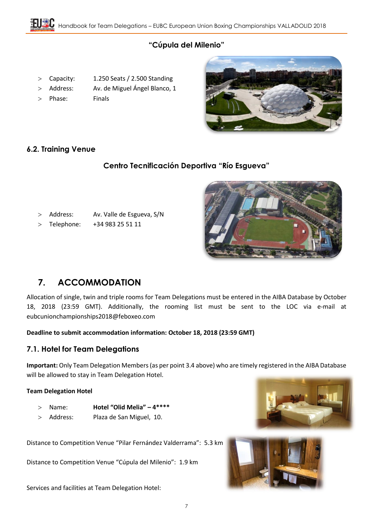## **"Cúpula del Milenio"**

- Capacity: 1.250 Seats / 2.500 Standing
- > Address: Av. de Miguel Ángel Blanco, 1
- 
- 
- Phase: Finals



### **6.2. Training Venue**

## **Centro Tecnificación Deportiva "Río Esgueva"**

- Address: Av. Valle de Esgueva, S/N
- Telephone: +34 983 25 51 11



## <span id="page-6-0"></span>**7. ACCOMMODATION**

Allocation of single, twin and triple rooms for Team Delegations must be entered in the AIBA Database by October 18, 2018 (23:59 GMT). Additionally, the rooming list must be sent to the LOC via e-mail at [eubcunionchampionships2018@feboxeo.com](mailto:eubcunionchampionships2018@feboxeo.com)

#### **Deadline to submit accommodation information: October 18, 2018 (23:59 GMT)**

#### **7.1. Hotel for Team Delegations**

**Important:** Only Team Delegation Members(as per point 3.4 above) who are timely registered in the AIBA Database will be allowed to stay in Team Delegation Hotel.

#### **Team Delegation Hotel**

- Name: **Hotel "Olid Melia" – 4\*\*\*\***
- Address: Plaza de San Miguel, 10.

Distance to Competition Venue "Pilar Fernández Valderrama": 5.3 km

Distance to Competition Venue "Cúpula del Milenio": 1.9 km

Services and facilities at Team Delegation Hotel:



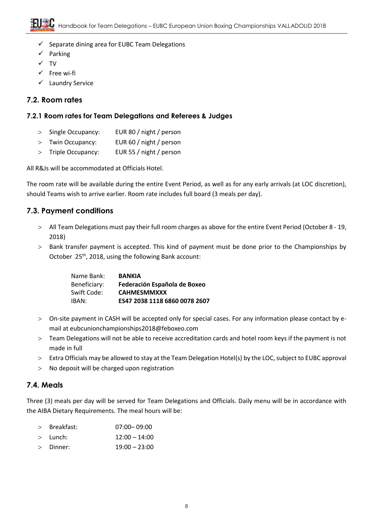- $\checkmark$  Separate dining area for EUBC Team Delegations
- $\checkmark$  Parking
- $\checkmark$  TV
- $\checkmark$  Free wi-fi
- $\checkmark$  Laundry Service

#### **7.2. Room rates**

#### **7.2.1 Room rates for Team Delegations and Referees & Judges**

- > Single Occupancy: EUR 80 / night / person
- Twin Occupancy: EUR 60 / night / person
- > Triple Occupancy: EUR 55 / night / person

All R&Js will be accommodated at Officials Hotel.

The room rate will be available during the entire Event Period, as well as for any early arrivals (at LOC discretion), should Teams wish to arrive earlier. Room rate includes full board (3 meals per day).

### **7.3. Payment conditions**

- All Team Delegations must pay their full room charges as above for the entire Event Period (October 8 19, 2018)
- Bank transfer payment is accepted. This kind of payment must be done prior to the Championships by October 25<sup>th</sup>, 2018, using the following Bank account:

| Name Bank:   | <b>BANKIA</b>                 |
|--------------|-------------------------------|
| Beneficiary: | Federación Española de Boxeo  |
| Swift Code:  | <b>CAHMESMMXXX</b>            |
| IBAN:        | ES47 2038 1118 6860 0078 2607 |

- On-site payment in CASH will be accepted only for special cases. For any information please contact by email a[t eubcunionchampionships2018@feboxeo.com](mailto:eubcunionchampionships2018@feboxeo.com)
- Team Delegations will not be able to receive accreditation cards and hotel room keys if the payment is not made in full
- Extra Officials may be allowed to stay at the Team Delegation Hotel(s) by the LOC, subject to EUBC approval
- > No deposit will be charged upon registration

#### **7.4. Meals**

Three (3) meals per day will be served for Team Delegations and Officials. Daily menu will be in accordance with the AIBA Dietary Requirements. The meal hours will be:

| $>$ Breakfast: | $07:00 - 09:00$ |
|----------------|-----------------|
|                |                 |

- $>$  Lunch:  $12:00 14:00$
- Dinner: 19:00 23:00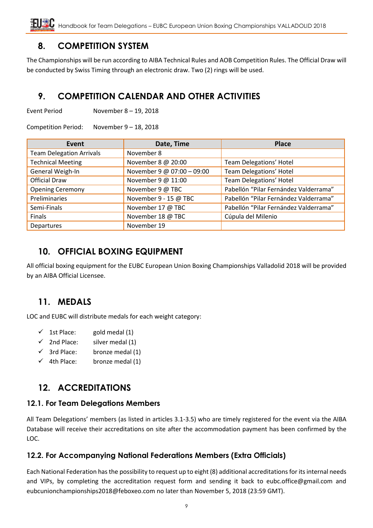## <span id="page-8-0"></span>**8. COMPETITION SYSTEM**

The Championships will be run according to AIBA Technical Rules and AOB Competition Rules. The Official Draw will be conducted by Swiss Timing through an electronic draw. Two (2) rings will be used.

## <span id="page-8-1"></span>**9. COMPETITION CALENDAR AND OTHER ACTIVITIES**

Event Period November 8 – 19, 2018

Competition Period: November 9 – 18, 2018

| Event                           | Date, Time                 | <b>Place</b>                          |
|---------------------------------|----------------------------|---------------------------------------|
| <b>Team Delegation Arrivals</b> | November 8                 |                                       |
| <b>Technical Meeting</b>        | November 8 @ 20:00         | Team Delegations' Hotel               |
| General Weigh-In                | November 9 @ 07:00 - 09:00 | Team Delegations' Hotel               |
| <b>Official Draw</b>            | November 9 @ 11:00         | Team Delegations' Hotel               |
| <b>Opening Ceremony</b>         | November 9 @ TBC           | Pabellón "Pilar Fernández Valderrama" |
| Preliminaries                   | November 9 - 15 @ TBC      | Pabellón "Pilar Fernández Valderrama" |
| Semi-Finals                     | November 17 @ TBC          | Pabellón "Pilar Fernández Valderrama" |
| Finals                          | November 18 @ TBC          | Cúpula del Milenio                    |
| <b>Departures</b>               | November 19                |                                       |

## <span id="page-8-2"></span>**10. OFFICIAL BOXING EQUIPMENT**

All official boxing equipment for the EUBC European Union Boxing Championships Valladolid 2018 will be provided by an AIBA Official Licensee.

## <span id="page-8-3"></span>**11. MEDALS**

LOC and EUBC will distribute medals for each weight category:

- $\checkmark$  1st Place: gold medal (1)
- $\checkmark$  2nd Place: silver medal (1)
- $\checkmark$  3rd Place: bronze medal (1)
- $\checkmark$  4th Place: bronze medal (1)

## <span id="page-8-4"></span>**12. ACCREDITATIONS**

#### **12.1. For Team Delegations Members**

All Team Delegations' members (as listed in articles 3.1-3.5) who are timely registered for the event via the AIBA Database will receive their accreditations on site after the accommodation payment has been confirmed by the LOC.

## **12.2. For Accompanying National Federations Members (Extra Officials)**

Each National Federation has the possibility to request up to eight (8) additional accreditations for its internal needs and VIPs, by completing the accreditation request form and sending it back to eubc.office@gmail.com and [eubcunionchampionships2018@feboxeo.com](mailto:eubcunionchampionships2018@feboxeo.com) no later than November 5, 2018 (23:59 GMT).